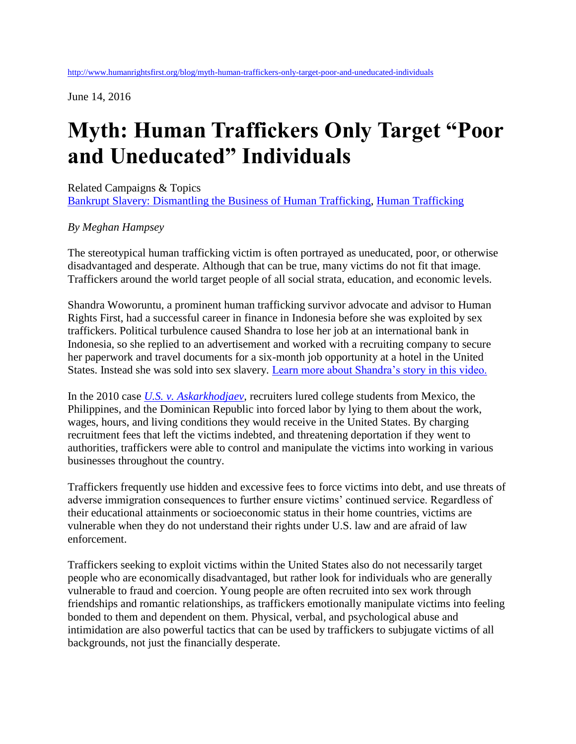June 14, 2016

## **Myth: Human Traffickers Only Target "Poor and Uneducated" Individuals**

Related Campaigns & Topics [Bankrupt Slavery: Dismantling the Business of Human Trafficking,](http://www.humanrightsfirst.org/campaigns/bankrupt-slavery) [Human Trafficking](http://www.humanrightsfirst.org/topics/human-trafficking)

## *By Meghan Hampsey*

The stereotypical human trafficking victim is often portrayed as uneducated, poor, or otherwise disadvantaged and desperate. Although that can be true, many victims do not fit that image. Traffickers around the world target people of all social strata, education, and economic levels.

Shandra Woworuntu, a prominent human trafficking survivor advocate and advisor to Human Rights First, had a successful career in finance in Indonesia before she was exploited by sex traffickers. Political turbulence caused Shandra to lose her job at an international bank in Indonesia, so she replied to an advertisement and worked with a recruiting company to secure her paperwork and travel documents for a six-month job opportunity at a hotel in the United States. Instead she was sold into sex slavery. [Learn more about Shandra's story in this video.](http://www.humanrightsfirst.org/blog/how-one-survivors-story-helps-us-understand-modern-slavery)

In the 2010 case *[U.S. v. Askarkhodjaev,](http://archive.boston.com/news/local/massachusetts/articles/2010/10/20/man_pleads_guilty_in_human_trafficking_case/)* recruiters lured college students from Mexico, the Philippines, and the Dominican Republic into forced labor by lying to them about the work, wages, hours, and living conditions they would receive in the United States. By charging recruitment fees that left the victims indebted, and threatening deportation if they went to authorities, traffickers were able to control and manipulate the victims into working in various businesses throughout the country.

Traffickers frequently use hidden and excessive fees to force victims into debt, and use threats of adverse immigration consequences to further ensure victims' continued service. Regardless of their educational attainments or socioeconomic status in their home countries, victims are vulnerable when they do not understand their rights under U.S. law and are afraid of law enforcement.

Traffickers seeking to exploit victims within the United States also do not necessarily target people who are economically disadvantaged, but rather look for individuals who are generally vulnerable to fraud and coercion. Young people are often recruited into sex work through friendships and romantic relationships, as traffickers emotionally manipulate victims into feeling bonded to them and dependent on them. Physical, verbal, and psychological abuse and intimidation are also powerful tactics that can be used by traffickers to subjugate victims of all backgrounds, not just the financially desperate.